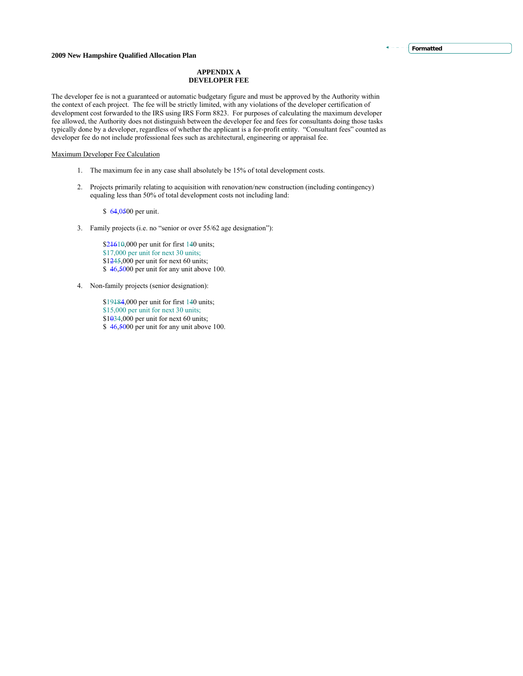### **APPENDIX A DEVELOPER FEE**

The developer fee is not a guaranteed or automatic budgetary figure and must be approved by the Authority within the context of each project. The fee will be strictly limited, with any violations of the developer certification of development cost forwarded to the IRS using IRS Form 8823. For purposes of calculating the maximum developer fee allowed, the Authority does not distinguish between the developer fee and fees for consultants doing those tasks typically done by a developer, regardless of whether the applicant is a for-profit entity. "Consultant fees" counted as developer fee do not include professional fees such as architectural, engineering or appraisal fee.

### Maximum Developer Fee Calculation

- 1. The maximum fee in any case shall absolutely be 15% of total development costs.
- 2. Projects primarily relating to acquisition with renovation/new construction (including contingency) equaling less than 50% of total development costs not including land:

\$ 64,0500 per unit.

3. Family projects (i.e. no "senior or over 55/62 age designation"):

\$21610,000 per unit for first 140 units; \$17,000 per unit for next 30 units;  $$1245,000$  per unit for next 60 units; \$46,5000 per unit for any unit above 100.

- 4. Non-family projects (senior designation):
	- \$19184,000 per unit for first 140 units; \$15,000 per unit for next 30 units;  $$1034,000$  per unit for next 60 units; \$46,5000 per unit for any unit above 100.

### **Formatted**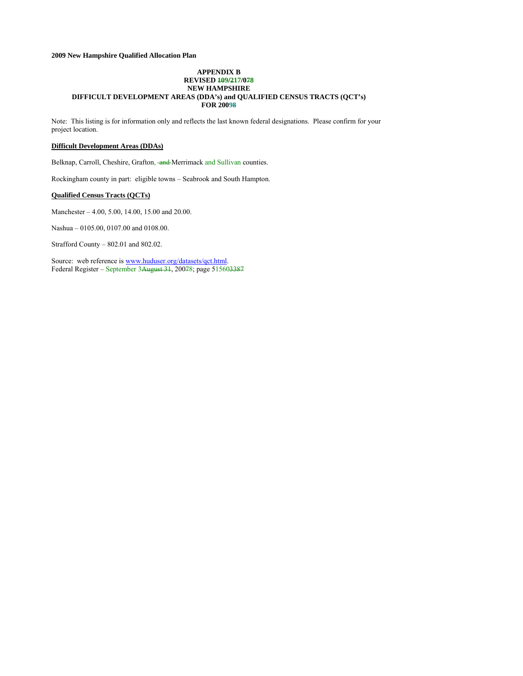#### **APPENDIX B REVISED 109/217/078 NEW HAMPSHIRE DIFFICULT DEVELOPMENT AREAS (DDA's) and QUALIFIED CENSUS TRACTS (QCT's) FOR 20098**

Note: This listing is for information only and reflects the last known federal designations. Please confirm for your project location.

### **Difficult Development Areas (DDAs)**

Belknap, Carroll, Cheshire, Grafton, and Merrimack and Sullivan counties.

Rockingham county in part: eligible towns – Seabrook and South Hampton.

### **Qualified Census Tracts (QCTs)**

Manchester – 4.00, 5.00, 14.00, 15.00 and 20.00.

Nashua – 0105.00, 0107.00 and 0108.00.

Strafford County – 802.01 and 802.02.

Source: web reference is [www.huduser.org/datasets/qct.html.](http://www.huduser.org/datasets/qct.html) Federal Register – September 3August 31, 20078; page 515603387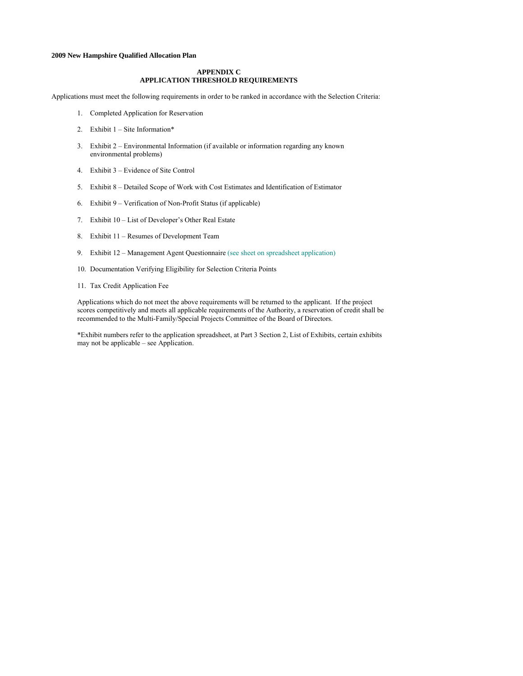### **APPENDIX C APPLICATION THRESHOLD REQUIREMENTS**

Applications must meet the following requirements in order to be ranked in accordance with the Selection Criteria:

- 1. Completed Application for Reservation
- 2. Exhibit 1 Site Information\*
- 3. Exhibit 2 Environmental Information (if available or information regarding any known environmental problems)
- 4. Exhibit 3 Evidence of Site Control
- 5. Exhibit 8 Detailed Scope of Work with Cost Estimates and Identification of Estimator
- 6. Exhibit 9 Verification of Non-Profit Status (if applicable)
- 7. Exhibit 10 List of Developer's Other Real Estate
- 8. Exhibit 11 Resumes of Development Team
- 9. Exhibit 12 Management Agent Questionnaire (see sheet on spreadsheet application)
- 10. Documentation Verifying Eligibility for Selection Criteria Points
- 11. Tax Credit Application Fee

Applications which do not meet the above requirements will be returned to the applicant. If the project scores competitively and meets all applicable requirements of the Authority, a reservation of credit shall be recommended to the Multi-Family/Special Projects Committee of the Board of Directors.

\*Exhibit numbers refer to the application spreadsheet, at Part 3 Section 2, List of Exhibits, certain exhibits may not be applicable – see Application.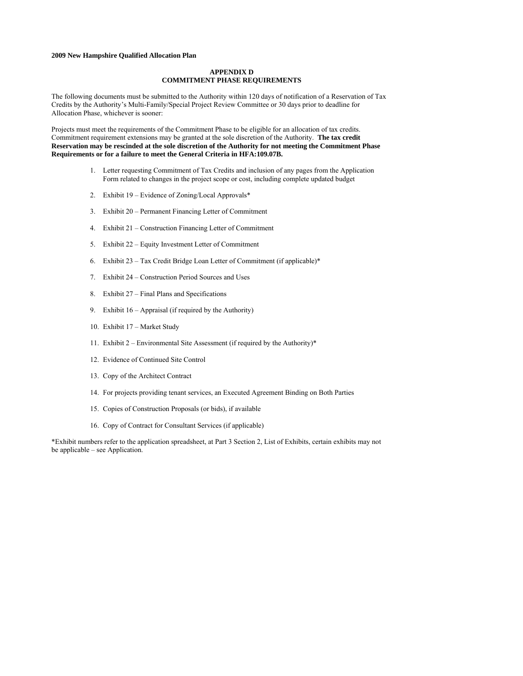### **APPENDIX D COMMITMENT PHASE REQUIREMENTS**

The following documents must be submitted to the Authority within 120 days of notification of a Reservation of Tax Credits by the Authority's Multi-Family/Special Project Review Committee or 30 days prior to deadline for Allocation Phase, whichever is sooner:

Projects must meet the requirements of the Commitment Phase to be eligible for an allocation of tax credits. Commitment requirement extensions may be granted at the sole discretion of the Authority. **The tax credit Reservation may be rescinded at the sole discretion of the Authority for not meeting the Commitment Phase Requirements or for a failure to meet the General Criteria in HFA:109.07B.**

- 1. Letter requesting Commitment of Tax Credits and inclusion of any pages from the Application Form related to changes in the project scope or cost, including complete updated budget
- 2. Exhibit 19 Evidence of Zoning/Local Approvals\*
- 3. Exhibit 20 Permanent Financing Letter of Commitment
- 4. Exhibit 21 Construction Financing Letter of Commitment
- 5. Exhibit 22 Equity Investment Letter of Commitment
- 6. Exhibit 23 Tax Credit Bridge Loan Letter of Commitment (if applicable)\*
- 7. Exhibit 24 Construction Period Sources and Uses
- 8. Exhibit 27 Final Plans and Specifications
- 9. Exhibit 16 Appraisal (if required by the Authority)
- 10. Exhibit 17 Market Study
- 11. Exhibit 2 Environmental Site Assessment (if required by the Authority)\*
- 12. Evidence of Continued Site Control
- 13. Copy of the Architect Contract
- 14. For projects providing tenant services, an Executed Agreement Binding on Both Parties
- 15. Copies of Construction Proposals (or bids), if available
- 16. Copy of Contract for Consultant Services (if applicable)

\*Exhibit numbers refer to the application spreadsheet, at Part 3 Section 2, List of Exhibits, certain exhibits may not be applicable – see Application.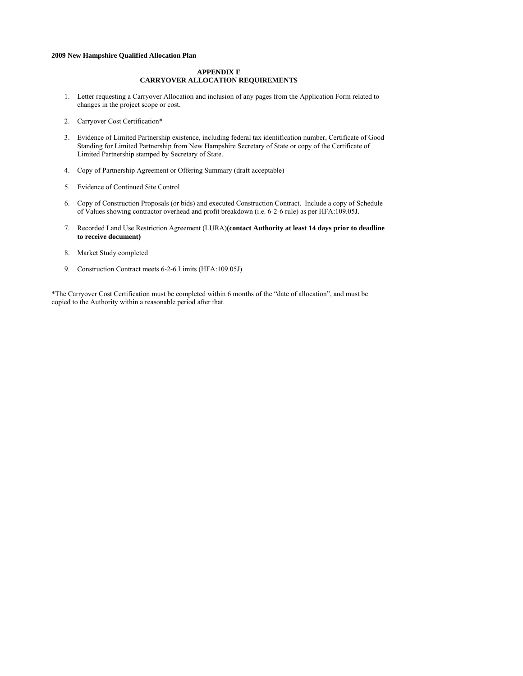### **APPENDIX E CARRYOVER ALLOCATION REQUIREMENTS**

- 1. Letter requesting a Carryover Allocation and inclusion of any pages from the Application Form related to changes in the project scope or cost.
- 2. Carryover Cost Certification\*
- 3. Evidence of Limited Partnership existence, including federal tax identification number, Certificate of Good Standing for Limited Partnership from New Hampshire Secretary of State or copy of the Certificate of Limited Partnership stamped by Secretary of State.
- 4. Copy of Partnership Agreement or Offering Summary (draft acceptable)
- 5. Evidence of Continued Site Control
- 6. Copy of Construction Proposals (or bids) and executed Construction Contract. Include a copy of Schedule of Values showing contractor overhead and profit breakdown (i.e. 6-2-6 rule) as per HFA:109.05J.
- 7. Recorded Land Use Restriction Agreement (LURA)**(contact Authority at least 14 days prior to deadline to receive document)**
- 8. Market Study completed
- 9. Construction Contract meets 6-2-6 Limits (HFA:109.05J)

\*The Carryover Cost Certification must be completed within 6 months of the "date of allocation", and must be copied to the Authority within a reasonable period after that.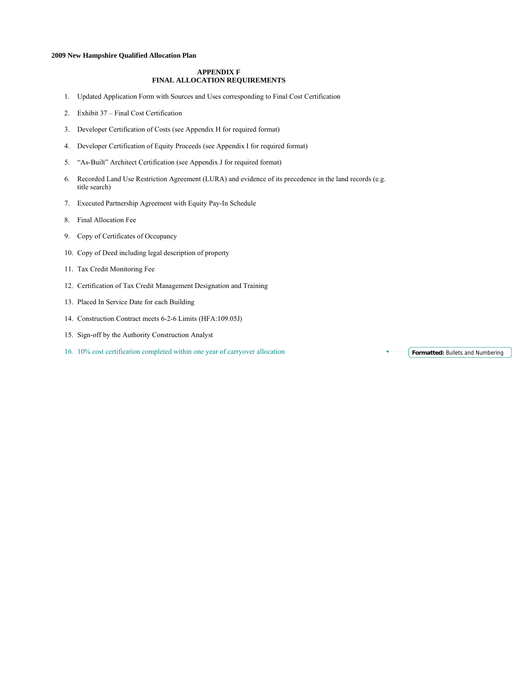### **APPENDIX F FINAL ALLOCATION REQUIREMENTS**

- 1. Updated Application Form with Sources and Uses corresponding to Final Cost Certification
- 2. Exhibit 37 Final Cost Certification
- 3. Developer Certification of Costs (see Appendix H for required format)
- 4. Developer Certification of Equity Proceeds (see Appendix I for required format)
- 5. "As-Built" Architect Certification (see Appendix J for required format)
- 6. Recorded Land Use Restriction Agreement (LURA) and evidence of its precedence in the land records (e.g. title search)
- 7. Executed Partnership Agreement with Equity Pay-In Schedule
- 8. Final Allocation Fee
- 9. Copy of Certificates of Occupancy
- 10. Copy of Deed including legal description of property
- 11. Tax Credit Monitoring Fee
- 12. Certification of Tax Credit Management Designation and Training
- 13. Placed In Service Date for each Building
- 14. Construction Contract meets 6-2-6 Limits (HFA:109.05J)
- 15. Sign-off by the Authority Construction Analyst
- 16. 10% cost certification completed within one year of carryover allocation **Formatted:** Bullets and Numbering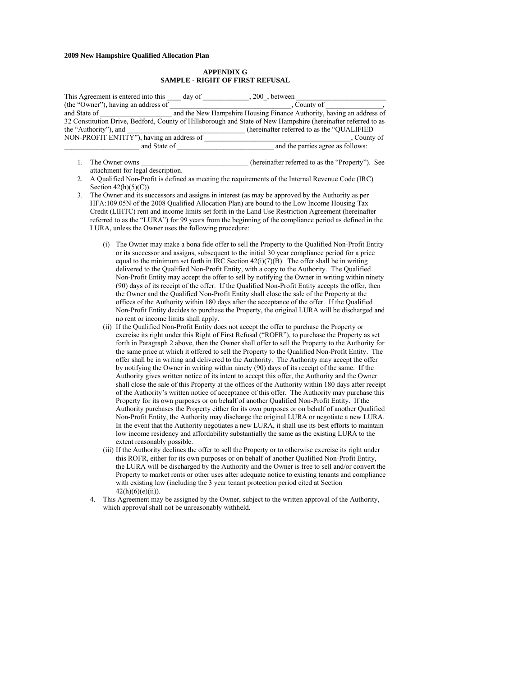#### **APPENDIX G SAMPLE - RIGHT OF FIRST REFUSAL**

| This Agreement is entered into this       | day of | 200, between                                                                                                  |  |
|-------------------------------------------|--------|---------------------------------------------------------------------------------------------------------------|--|
| (the "Owner"), having an address of       |        | . County of                                                                                                   |  |
| and State of                              |        | and the New Hampshire Housing Finance Authority, having an address of                                         |  |
|                                           |        | 32 Constitution Drive, Bedford, County of Hillsborough and State of New Hampshire (hereinafter referred to as |  |
| the "Authority"), and                     |        | (hereinafter referred to as the "OUALIFIED")                                                                  |  |
| NON-PROFIT ENTITY"), having an address of |        | County of                                                                                                     |  |
| and State of                              |        | and the parties agree as follows:                                                                             |  |

- 1. The Owner owns the compact of the compact of the electronic (hereinafter referred to as the "Property"). See attachment for legal description.
- 2. A Qualified Non-Profit is defined as meeting the requirements of the Internal Revenue Code (IRC) Section  $42(h)(5)(C)$ ).
- 3. The Owner and its successors and assigns in interest (as may be approved by the Authority as per HFA:109.05N of the 2008 Qualified Allocation Plan) are bound to the Low Income Housing Tax Credit (LIHTC) rent and income limits set forth in the Land Use Restriction Agreement (hereinafter referred to as the "LURA") for 99 years from the beginning of the compliance period as defined in the LURA, unless the Owner uses the following procedure:
	- (i) The Owner may make a bona fide offer to sell the Property to the Qualified Non-Profit Entity or its successor and assigns, subsequent to the initial 30 year compliance period for a price equal to the minimum set forth in IRC Section  $42(i)(7)(B)$ . The offer shall be in writing delivered to the Qualified Non-Profit Entity, with a copy to the Authority. The Qualified Non-Profit Entity may accept the offer to sell by notifying the Owner in writing within ninety (90) days of its receipt of the offer. If the Qualified Non-Profit Entity accepts the offer, then the Owner and the Qualified Non-Profit Entity shall close the sale of the Property at the offices of the Authority within 180 days after the acceptance of the offer. If the Qualified Non-Profit Entity decides to purchase the Property, the original LURA will be discharged and no rent or income limits shall apply.
	- (ii) If the Qualified Non-Profit Entity does not accept the offer to purchase the Property or exercise its right under this Right of First Refusal ("ROFR"), to purchase the Property as set forth in Paragraph 2 above, then the Owner shall offer to sell the Property to the Authority for the same price at which it offered to sell the Property to the Qualified Non-Profit Entity. The offer shall be in writing and delivered to the Authority. The Authority may accept the offer by notifying the Owner in writing within ninety (90) days of its receipt of the same. If the Authority gives written notice of its intent to accept this offer, the Authority and the Owner shall close the sale of this Property at the offices of the Authority within 180 days after receipt of the Authority's written notice of acceptance of this offer. The Authority may purchase this Property for its own purposes or on behalf of another Qualified Non-Profit Entity. If the Authority purchases the Property either for its own purposes or on behalf of another Qualified Non-Profit Entity, the Authority may discharge the original LURA or negotiate a new LURA. In the event that the Authority negotiates a new LURA, it shall use its best efforts to maintain low income residency and affordability substantially the same as the existing LURA to the extent reasonably possible.
	- (iii) If the Authority declines the offer to sell the Property or to otherwise exercise its right under this ROFR, either for its own purposes or on behalf of another Qualified Non-Profit Entity, the LURA will be discharged by the Authority and the Owner is free to sell and/or convert the Property to market rents or other uses after adequate notice to existing tenants and compliance with existing law (including the 3 year tenant protection period cited at Section  $42(h)(6)(e)(ii)$ ).
	- 4. This Agreement may be assigned by the Owner, subject to the written approval of the Authority, which approval shall not be unreasonably withheld.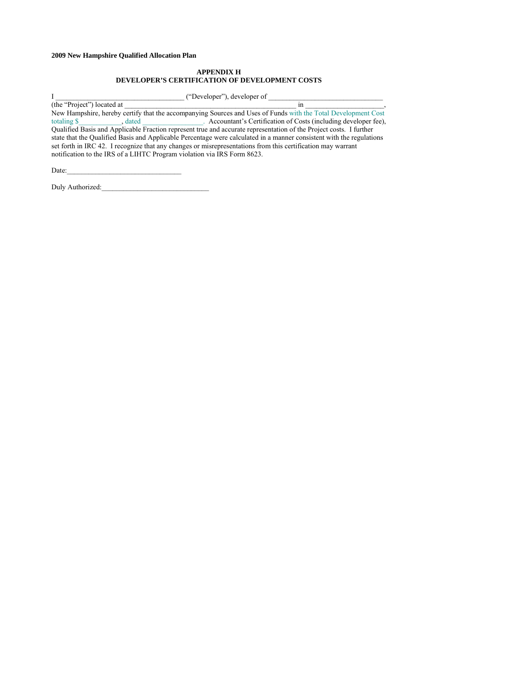### **APPENDIX H DEVELOPER'S CERTIFICATION OF DEVELOPMENT COSTS**

I \_\_\_\_\_\_\_\_\_\_\_\_\_\_\_\_\_\_\_\_\_\_\_\_\_\_\_\_\_\_\_\_\_\_\_\_ ("Developer"), developer of \_\_\_\_\_\_\_\_\_\_\_\_\_\_\_\_\_\_\_\_\_\_\_\_\_\_\_\_\_\_\_\_

(the "Project") located at \_\_\_\_\_\_\_\_\_\_\_\_\_\_\_\_\_\_\_\_\_\_\_\_\_\_\_\_\_\_\_\_\_\_\_\_\_\_\_\_\_\_\_\_\_\_\_\_ in \_\_\_\_\_\_\_\_\_\_\_\_\_\_\_\_\_\_\_\_\_\_, New Hampshire, hereby certify that the accompanying Sources and Uses of Funds with the Total Development Cost totaling \$ , dated , and a second Accountant's Certification of Costs (including developer fee), Qualified Basis and Applicable Fraction represent true and accurate representation of the Project costs. I further state that the Qualified Basis and Applicable Percentage were calculated in a manner consistent with the regulations set forth in IRC 42. I recognize that any changes or misrepresentations from this certification may warrant notification to the IRS of a LIHTC Program violation via IRS Form 8623.

Date:

Duly Authorized:\_\_\_\_\_\_\_\_\_\_\_\_\_\_\_\_\_\_\_\_\_\_\_\_\_\_\_\_\_\_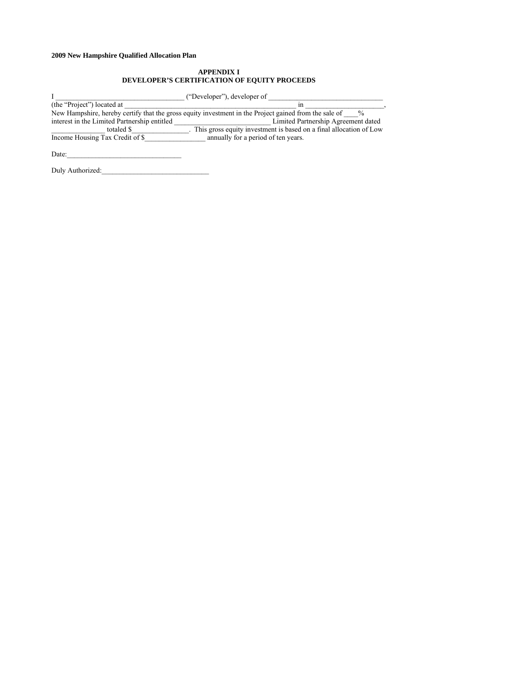### **APPENDIX I DEVELOPER'S CERTIFICATION OF EQUITY PROCEEDS**

I \_\_\_\_\_\_\_\_\_\_\_\_\_\_\_\_\_\_\_\_\_\_\_\_\_\_\_\_\_\_\_\_\_\_\_\_ ("Developer"), developer of \_\_\_\_\_\_\_\_\_\_\_\_\_\_\_\_\_\_\_\_\_\_\_\_\_\_\_\_\_\_\_\_ (the "Project") located at \_\_\_\_\_\_\_\_\_\_\_\_\_\_\_\_\_\_\_\_\_\_\_\_\_\_\_\_\_\_\_\_\_\_\_\_\_\_\_\_\_\_\_\_\_\_\_\_ in \_\_\_\_\_\_\_\_\_\_\_\_\_\_\_\_\_\_\_\_\_\_, New Hampshire, hereby certify that the gross equity investment in the Project gained from the sale of  $\frac{6}{100}$ interest in the Limited Partnership entitled **Limited Partnership Agreement dated** \_\_\_\_\_\_\_\_\_\_\_\_\_\_\_ totaled \$\_\_\_\_\_\_\_\_\_\_\_\_\_\_\_\_. This gross equity investment is based on a final allocation of Low Income Housing Tax Credit of \$\_\_\_\_\_\_\_\_\_\_\_\_\_\_\_\_\_ annually for a period of ten years.  $Date:$ 

Duly Authorized: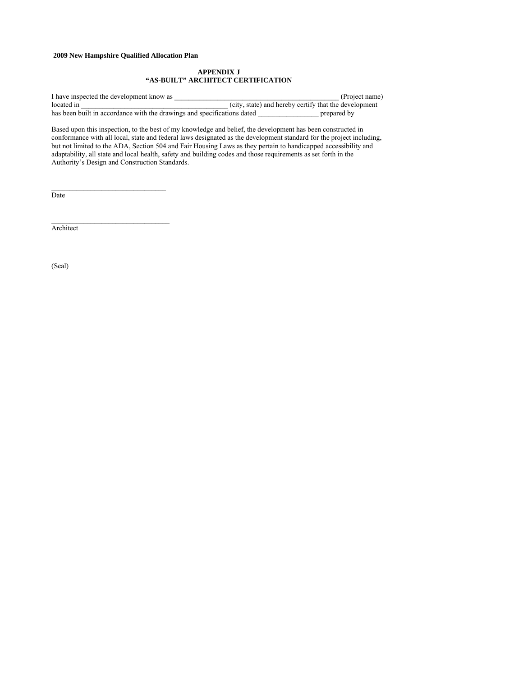### **APPENDIX J "AS-BUILT" ARCHITECT CERTIFICATION**

I have inspected the development know as \_\_\_\_\_\_\_\_\_\_\_\_\_\_\_\_\_\_\_\_\_\_\_\_\_\_\_\_\_\_\_\_\_\_\_\_\_\_\_\_\_\_\_\_\_\_ (Project name) located in \_\_\_\_\_\_\_\_\_\_\_\_\_\_\_\_\_\_\_\_\_\_\_\_\_\_\_\_\_\_\_\_\_\_\_\_\_\_\_\_\_ (city, state) and hereby certify that the development has been built in accordance with the drawings and specifications dated

Based upon this inspection, to the best of my knowledge and belief, the development has been constructed in conformance with all local, state and federal laws designated as the development standard for the project including, but not limited to the ADA, Section 504 and Fair Housing Laws as they pertain to handicapped accessibility and adaptability, all state and local health, safety and building codes and those requirements as set forth in the Authority's Design and Construction Standards.

Date

**Architect** 

(Seal)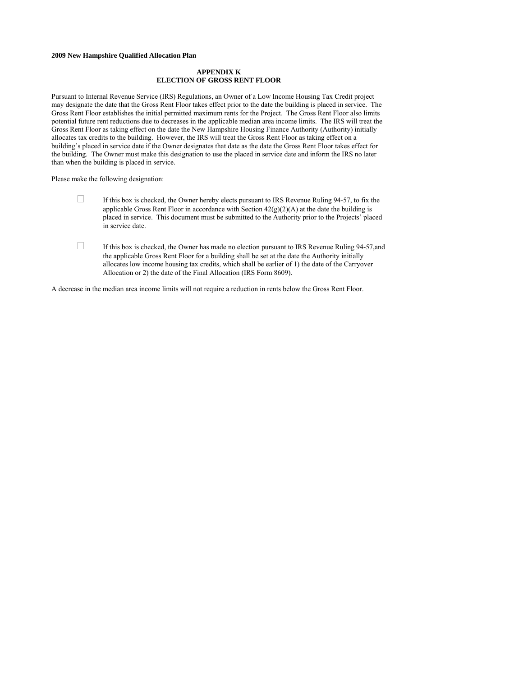### **APPENDIX K ELECTION OF GROSS RENT FLOOR**

Pursuant to Internal Revenue Service (IRS) Regulations, an Owner of a Low Income Housing Tax Credit project may designate the date that the Gross Rent Floor takes effect prior to the date the building is placed in service. The Gross Rent Floor establishes the initial permitted maximum rents for the Project. The Gross Rent Floor also limits potential future rent reductions due to decreases in the applicable median area income limits. The IRS will treat the Gross Rent Floor as taking effect on the date the New Hampshire Housing Finance Authority (Authority) initially allocates tax credits to the building. However, the IRS will treat the Gross Rent Floor as taking effect on a building's placed in service date if the Owner designates that date as the date the Gross Rent Floor takes effect for the building. The Owner must make this designation to use the placed in service date and inform the IRS no later than when the building is placed in service.

Please make the following designation:

- If this box is checked, the Owner hereby elects pursuant to IRS Revenue Ruling 94-57, to fix the applicable Gross Rent Floor in accordance with Section  $42(g)(2)(A)$  at the date the building is placed in service. This document must be submitted to the Authority prior to the Projects' placed in service date.
- If this box is checked, the Owner has made no election pursuant to IRS Revenue Ruling 94-57,and the applicable Gross Rent Floor for a building shall be set at the date the Authority initially allocates low income housing tax credits, which shall be earlier of 1) the date of the Carryover Allocation or 2) the date of the Final Allocation (IRS Form 8609).

A decrease in the median area income limits will not require a reduction in rents below the Gross Rent Floor.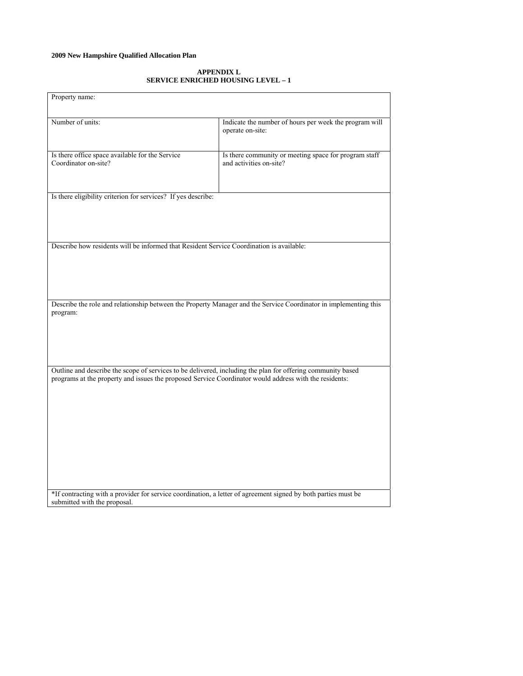### **APPENDIX L SERVICE ENRICHED HOUSING LEVEL – 1**

| Property name:                                                                                                                                                                                                        |                                                                                  |
|-----------------------------------------------------------------------------------------------------------------------------------------------------------------------------------------------------------------------|----------------------------------------------------------------------------------|
| Number of units:                                                                                                                                                                                                      | Indicate the number of hours per week the program will<br>operate on-site:       |
| Is there office space available for the Service<br>Coordinator on-site?                                                                                                                                               | Is there community or meeting space for program staff<br>and activities on-site? |
| Is there eligibility criterion for services? If yes describe:                                                                                                                                                         |                                                                                  |
| Describe how residents will be informed that Resident Service Coordination is available:                                                                                                                              |                                                                                  |
| Describe the role and relationship between the Property Manager and the Service Coordinator in implementing this<br>program:                                                                                          |                                                                                  |
| Outline and describe the scope of services to be delivered, including the plan for offering community based<br>programs at the property and issues the proposed Service Coordinator would address with the residents: |                                                                                  |
| *If contracting with a provider for service coordination, a letter of agreement signed by both parties must be<br>submitted with the proposal.                                                                        |                                                                                  |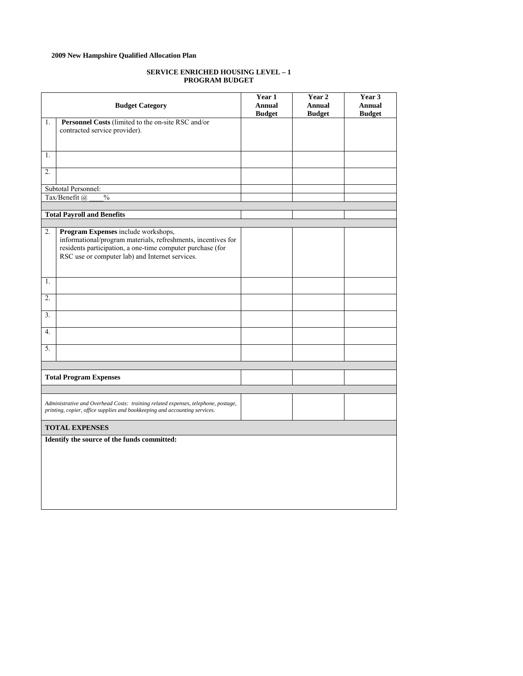### **SERVICE ENRICHED HOUSING LEVEL – 1 PROGRAM BUDGET**

|                  | <b>Budget Category</b>                                                                               | Year 1<br>Annual | Year 2<br>Annual | Year 3<br><b>Annual</b> |
|------------------|------------------------------------------------------------------------------------------------------|------------------|------------------|-------------------------|
|                  |                                                                                                      | <b>Budget</b>    | <b>Budget</b>    | <b>Budget</b>           |
| 1.               | Personnel Costs (limited to the on-site RSC and/or                                                   |                  |                  |                         |
|                  | contracted service provider).                                                                        |                  |                  |                         |
|                  |                                                                                                      |                  |                  |                         |
|                  |                                                                                                      |                  |                  |                         |
| 1.               |                                                                                                      |                  |                  |                         |
|                  |                                                                                                      |                  |                  |                         |
| $\overline{2}$ . |                                                                                                      |                  |                  |                         |
|                  | Subtotal Personnel:                                                                                  |                  |                  |                         |
|                  | Tax/Benefit @<br>$\frac{0}{0}$                                                                       |                  |                  |                         |
|                  |                                                                                                      |                  |                  |                         |
|                  |                                                                                                      |                  |                  |                         |
|                  | <b>Total Payroll and Benefits</b>                                                                    |                  |                  |                         |
| $\overline{2}$ . |                                                                                                      |                  |                  |                         |
|                  | Program Expenses include workshops,<br>informational/program materials, refreshments, incentives for |                  |                  |                         |
|                  | residents participation, a one-time computer purchase (for                                           |                  |                  |                         |
|                  | RSC use or computer lab) and Internet services.                                                      |                  |                  |                         |
|                  |                                                                                                      |                  |                  |                         |
|                  |                                                                                                      |                  |                  |                         |
| 1.               |                                                                                                      |                  |                  |                         |
|                  |                                                                                                      |                  |                  |                         |
| 2.               |                                                                                                      |                  |                  |                         |
|                  |                                                                                                      |                  |                  |                         |
| 3 <sub>1</sub>   |                                                                                                      |                  |                  |                         |
|                  |                                                                                                      |                  |                  |                         |
| 4.               |                                                                                                      |                  |                  |                         |
|                  |                                                                                                      |                  |                  |                         |
| 5.               |                                                                                                      |                  |                  |                         |
|                  |                                                                                                      |                  |                  |                         |
|                  |                                                                                                      |                  |                  |                         |
|                  |                                                                                                      |                  |                  |                         |
|                  | <b>Total Program Expenses</b>                                                                        |                  |                  |                         |
|                  |                                                                                                      |                  |                  |                         |
|                  |                                                                                                      |                  |                  |                         |
|                  | Administrative and Overhead Costs: training related expenses, telephone, postage,                    |                  |                  |                         |
|                  | printing, copier, office supplies and bookkeeping and accounting services.                           |                  |                  |                         |
|                  |                                                                                                      |                  |                  |                         |
|                  | <b>TOTAL EXPENSES</b>                                                                                |                  |                  |                         |
|                  | Identify the source of the funds committed:                                                          |                  |                  |                         |
|                  |                                                                                                      |                  |                  |                         |
|                  |                                                                                                      |                  |                  |                         |
|                  |                                                                                                      |                  |                  |                         |
|                  |                                                                                                      |                  |                  |                         |
|                  |                                                                                                      |                  |                  |                         |
|                  |                                                                                                      |                  |                  |                         |
|                  |                                                                                                      |                  |                  |                         |
|                  |                                                                                                      |                  |                  |                         |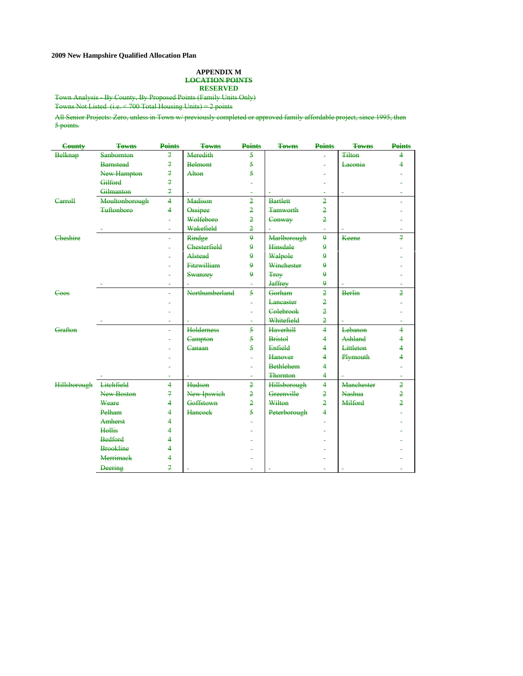### **APPENDIX M LOCATION POINTS RESERVED**

Town Analysis - By County, By Proposed Points (Family Units Only)

Towns Not Listed (i.e. < 700 Total Housing Units) = 2 points

All Senior Projects: Zero, unless in Town w/ previously completed or approved family affordable project, since 1995, then 5 points.

| County              | <b>Towns</b>      | <b>Points</b>            | <b>Towns</b>       | <b>Points</b>           | <b>Towns</b>        | <b>Points</b>           | <b>Towns</b>      | <b>Points</b>  |
|---------------------|-------------------|--------------------------|--------------------|-------------------------|---------------------|-------------------------|-------------------|----------------|
| <b>Belknap</b>      | <b>Sanbornton</b> | $\boldsymbol{z}$         | Meredith           | $\overline{\mathbf{5}}$ |                     |                         | <b>Tilton</b>     | 4              |
|                     | <b>Barnstead</b>  | $\mathcal{I}$            | <b>Belmont</b>     | $\overline{5}$          |                     |                         | Laconia           | 4              |
|                     | New Hampton       | $\boldsymbol{z}$         | Alton              | $\overline{5}$          |                     |                         |                   |                |
|                     | Gilford           | $\overline{\mathcal{F}}$ |                    |                         |                     |                         |                   |                |
|                     | Gilmanton         | $\overline{z}$           |                    |                         |                     |                         |                   |                |
| Carroll             | Moultonborough    | $\overline{4}$           | Madison            | $\overline{2}$          | <b>Bartlett</b>     | $\overline{2}$          |                   |                |
|                     | <b>Tuftonboro</b> | 4                        | Ossipee            | $\overline{2}$          | <b>Tamworth</b>     | $\overline{2}$          |                   |                |
|                     |                   |                          | Wolfeboro          | $\overline{2}$          | Conway              | $\overline{2}$          |                   |                |
|                     |                   |                          | Wakefield          | $\overline{2}$          |                     |                         |                   |                |
| Cheshire            |                   |                          | Rindge             | $\overline{\mathbf{Q}}$ | Marlborough         | $\mathbf{Q}$            | Keene             | $\overline{7}$ |
|                     |                   |                          | Chesterfield       | $\mathbf{Q}$            | Hinsdale            | $\mathbf{Q}$            |                   |                |
|                     |                   |                          | Alstead            | 9                       | Walpole             | 9                       |                   |                |
|                     |                   |                          | <b>Fitzwilliam</b> | $\overline{9}$          | Winchester          | 9                       |                   |                |
|                     |                   |                          | Swanzey            | $\overline{\mathbf{Q}}$ | <b>Troy</b>         | 9                       |                   |                |
|                     |                   |                          |                    |                         | <b>Jaffrey</b>      | $\overline{9}$          |                   |                |
| Coos                |                   |                          | Northumberland     | 5                       | Gorham              | $\overline{2}$          | <b>Berlin</b>     | $\overline{2}$ |
|                     |                   |                          |                    |                         | Lancaster           | $\overline{2}$          |                   |                |
|                     |                   |                          |                    |                         | Colebrook           | $\overline{2}$          |                   |                |
|                     |                   | $\overline{a}$           |                    |                         | Whitefield          | $\overline{2}$          |                   | ц.             |
| Grafton             |                   |                          | <b>Holderness</b>  | 5                       | <b>Haverhill</b>    | $\overline{4}$          | Lebanon           | $\overline{4}$ |
|                     |                   |                          | Campton            | $\overline{\mathbf{5}}$ | <b>Bristol</b>      | 4                       | Ashland           | 4              |
|                     |                   |                          | Canaan             | 5                       | Enfield             | 4                       | Littleton         | 4              |
|                     |                   |                          |                    |                         | Hanover             | 4                       | Plymouth          | 4              |
|                     |                   |                          |                    |                         | <b>Bethlehem</b>    | 4                       |                   |                |
|                     |                   |                          |                    |                         | Thornton            | $\overline{\mathbf{4}}$ |                   |                |
| <b>Hillsborough</b> | Litchfield        | 4                        | Hudson             | $\overline{2}$          | <b>Hillsborough</b> | $\overline{4}$          | <b>Manchester</b> | $\overline{2}$ |
|                     | New Boston        | 7                        | New Ipswich        | $\overline{2}$          | Greenville          | $\overline{2}$          | <b>Nashua</b>     | $\overline{2}$ |
|                     | Weare             | 4                        | Goffstown          | $\overline{2}$          | Wilton              | $\overline{2}$          | Milford           | $\overline{2}$ |
|                     | Pelham            | 4                        | <b>Hancock</b>     | 5                       | Peterborough        | 4                       |                   |                |
|                     | <b>Amherst</b>    | 4                        |                    |                         |                     |                         |                   |                |
|                     | Hollis            | 4                        |                    |                         |                     |                         |                   |                |
|                     | <b>Bedford</b>    | 4                        |                    |                         |                     |                         |                   |                |
|                     | <b>Brookline</b>  | 4                        |                    |                         |                     |                         |                   |                |
|                     | <b>Merrimack</b>  | 4                        |                    |                         |                     |                         |                   |                |
|                     | <b>Deering</b>    | $\overline{7}$           |                    |                         |                     |                         |                   |                |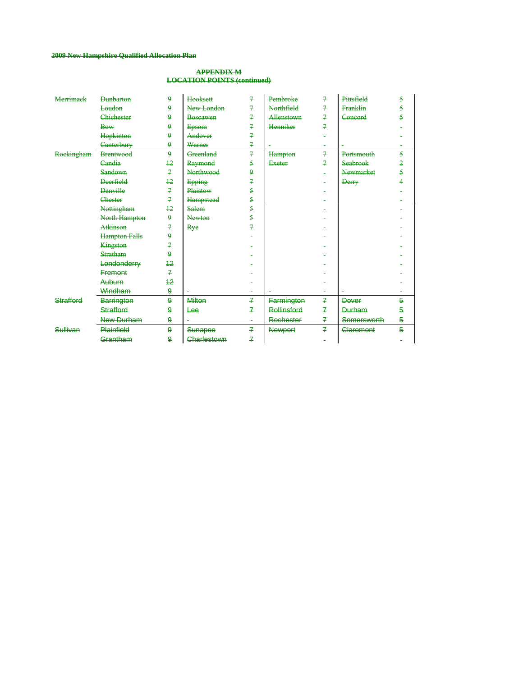### **APPENDIX M LOCATION POINTS (continued)**

| <b>Merrimack</b> | <b>Dunbarton</b>     | $\mathbf{Q}$     | <b>Hooksett</b>  | 7              | Pembroke       | 7              | Pittsfield         | $\overline{5}$ |
|------------------|----------------------|------------------|------------------|----------------|----------------|----------------|--------------------|----------------|
|                  | Loudon               | $\mathbf{9}$     | New London       | $\overline{A}$ | Northfield     | 7              | <b>Franklin</b>    | 5              |
|                  | <b>Chichester</b>    | $\mathbf{Q}$     | <b>Boscawen</b>  | $\overline{7}$ | Allenstown     | 7              | Concord            | 5              |
|                  | <b>Bow</b>           | $\mathbf{9}$     | Epsom            | $\overline{f}$ | Henniker       | 7              |                    |                |
|                  | Hopkinton            | $\mathbf{Q}$     | Andover          | $\overline{7}$ |                |                |                    |                |
|                  | Canterbury           | $\mathbf{9}$     | Warner           | $\overline{f}$ |                |                |                    |                |
| Rockingham       | <b>Brentwood</b>     | $\mathbf{9}$     | Greenland        | $\overline{f}$ | Hampton        | $\overline{f}$ | Portsmouth         | $\overline{5}$ |
|                  | Candia               | $+2$             | Raymond          | 5              | <b>Exeter</b>  | 7              | Seabrook           | $\overline{2}$ |
|                  | Sandown              | $\overline{f}$   | <b>Northwood</b> | $\mathbf{Q}$   |                |                | Newmarket          | 5              |
|                  | <b>Deerfield</b>     | $+2$             | Epping           | 7              |                |                | <b>Derry</b>       | 4              |
|                  | <b>Danville</b>      | $\overline{f}$   | Plaistow         | 5              |                |                |                    |                |
|                  | <b>Chester</b>       | $\overline{r}$   | <b>Hampstead</b> | 5              |                |                |                    |                |
|                  | Nottingham           | $+2$             | Salem            | $\overline{5}$ |                |                |                    |                |
|                  | North Hampton        | $\mathbf{Q}$     | <b>Newton</b>    | 5              |                |                |                    |                |
|                  | Atkinson             | 7                | Rye              | 7              |                |                |                    |                |
|                  | <b>Hampton Falls</b> | $\mathbf{Q}$     |                  |                |                |                |                    |                |
|                  | Kingston             | $\overline{f}$   |                  |                |                |                |                    |                |
|                  | <b>Stratham</b>      | 9                |                  |                |                |                |                    |                |
|                  | Londonderry          | 42               |                  |                |                |                |                    |                |
|                  | <b>Fremont</b>       | $\overline{f}$   |                  |                |                |                |                    |                |
|                  | Auburn               | 12               |                  |                |                |                |                    |                |
|                  | Windham              | $\boldsymbol{9}$ |                  |                |                |                |                    |                |
| <b>Strafford</b> | <b>Barrington</b>    | $\boldsymbol{9}$ | <b>Milton</b>    | 7              | Farmington     | 7              | <b>Dever</b>       | 5              |
|                  | <b>Strafford</b>     | $\bf{9}$         | Lee              | $\overline{f}$ | Rollinsford    | 7              | <b>Durham</b>      | 5              |
|                  | New Durham           | $\bf{9}$         |                  |                | Rochester      | 7              | <b>Somersworth</b> | $\overline{5}$ |
| Sullivan         | <b>Plainfield</b>    | $\boldsymbol{9}$ | Sunapee          | $\mathbf{z}$   | <b>Newport</b> | $\overline{f}$ | Claremont          | 5              |
|                  | Grantham             | $\bf{9}$         | Charlestown      | $\overline{f}$ |                |                |                    |                |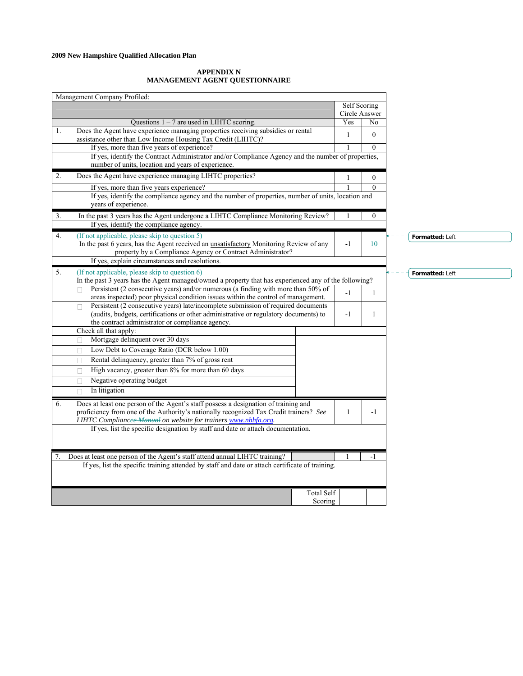### **APPENDIX N MANAGEMENT AGENT QUESTIONNAIRE**

| Management Company Profiled:                                                                                                                                                                                                                           |                      |                |                 |
|--------------------------------------------------------------------------------------------------------------------------------------------------------------------------------------------------------------------------------------------------------|----------------------|----------------|-----------------|
|                                                                                                                                                                                                                                                        | Self Scoring         |                |                 |
| Questions $1 - 7$ are used in LIHTC scoring.                                                                                                                                                                                                           | Circle Answer<br>Yes | No             |                 |
| Does the Agent have experience managing properties receiving subsidies or rental<br>1.                                                                                                                                                                 | $\mathbf{1}$         | $\overline{0}$ |                 |
| assistance other than Low Income Housing Tax Credit (LIHTC)?<br>If yes, more than five years of experience?                                                                                                                                            |                      | $\Omega$       |                 |
| If yes, identify the Contract Administrator and/or Compliance Agency and the number of properties,                                                                                                                                                     |                      |                |                 |
| number of units, location and years of experience.                                                                                                                                                                                                     |                      |                |                 |
| 2.<br>Does the Agent have experience managing LIHTC properties?                                                                                                                                                                                        | 1                    | $\mathbf{0}$   |                 |
| If yes, more than five years experience?                                                                                                                                                                                                               |                      | $\Omega$       |                 |
| If yes, identify the compliance agency and the number of properties, number of units, location and<br>years of experience.                                                                                                                             |                      |                |                 |
| In the past 3 years has the Agent undergone a LIHTC Compliance Monitoring Review?<br>3.                                                                                                                                                                |                      | $\overline{0}$ |                 |
| If yes, identify the compliance agency.                                                                                                                                                                                                                |                      |                |                 |
| (If not applicable, please skip to question 5)<br>4.<br>In the past 6 years, has the Agent received an unsatisfactory Monitoring Review of any<br>property by a Compliance Agency or Contract Administrator?                                           | $-1$                 | 10             | Formatted: Left |
| If yes, explain circumstances and resolutions.                                                                                                                                                                                                         |                      |                |                 |
| (If not applicable, please skip to question 6)<br>5.                                                                                                                                                                                                   |                      |                | Formatted: Left |
| In the past 3 years has the Agent managed/owned a property that has experienced any of the following?                                                                                                                                                  |                      |                |                 |
| Persistent (2 consecutive years) and/or numerous (a finding with more than 50% of<br>areas inspected) poor physical condition issues within the control of management.                                                                                 | $\mathbf{1}$         |                |                 |
| Persistent (2 consecutive years) late/incomplete submission of required documents<br>П<br>(audits, budgets, certifications or other administrative or regulatory documents) to<br>the contract administrator or compliance agency.                     |                      |                |                 |
| Check all that apply:                                                                                                                                                                                                                                  |                      |                |                 |
| Mortgage delinquent over 30 days<br>П                                                                                                                                                                                                                  |                      |                |                 |
| Low Debt to Coverage Ratio (DCR below 1.00)<br>П                                                                                                                                                                                                       |                      |                |                 |
| Rental delinquency, greater than 7% of gross rent<br>П                                                                                                                                                                                                 |                      |                |                 |
| High vacancy, greater than 8% for more than 60 days<br>П                                                                                                                                                                                               |                      |                |                 |
| Negative operating budget<br>П                                                                                                                                                                                                                         |                      |                |                 |
| In litigation                                                                                                                                                                                                                                          |                      |                |                 |
| Does at least one person of the Agent's staff possess a designation of training and<br>6.<br>proficiency from one of the Authority's nationally recognized Tax Credit trainers? See<br>LIHTC Compliancee Manual on website for trainers www.nhhfa.org. | $\mathbf{1}$         | $-1$           |                 |
| If yes, list the specific designation by staff and date or attach documentation.                                                                                                                                                                       |                      |                |                 |
| Does at least one person of the Agent's staff attend annual LIHTC training?<br>7.                                                                                                                                                                      |                      | $-1$           |                 |
| If yes, list the specific training attended by staff and date or attach certificate of training.                                                                                                                                                       |                      |                |                 |
| <b>Total Self</b>                                                                                                                                                                                                                                      |                      |                |                 |
| Scoring                                                                                                                                                                                                                                                |                      |                |                 |